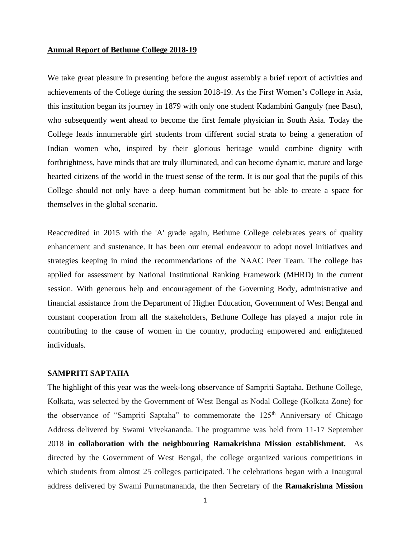#### **Annual Report of Bethune College 2018-19**

We take great pleasure in presenting before the august assembly a brief report of activities and achievements of the College during the session 2018-19. As the First Women's College in Asia, this institution began its journey in 1879 with only one student Kadambini Ganguly (nee Basu), who subsequently went ahead to become the first female physician in South Asia. Today the College leads innumerable girl students from different social strata to being a generation of Indian women who, inspired by their glorious heritage would combine dignity with forthrightness, have minds that are truly illuminated, and can become dynamic, mature and large hearted citizens of the world in the truest sense of the term. It is our goal that the pupils of this College should not only have a deep human commitment but be able to create a space for themselves in the global scenario.

Reaccredited in 2015 with the 'A' grade again, Bethune College celebrates years of quality enhancement and sustenance. It has been our eternal endeavour to adopt novel initiatives and strategies keeping in mind the recommendations of the NAAC Peer Team. The college has applied for assessment by National Institutional Ranking Framework (MHRD) in the current session. With generous help and encouragement of the Governing Body, administrative and financial assistance from the Department of Higher Education, Government of West Bengal and constant cooperation from all the stakeholders, Bethune College has played a major role in contributing to the cause of women in the country, producing empowered and enlightened individuals.

# **SAMPRITI SAPTAHA**

The highlight of this year was the week-long observance of Sampriti Saptaha. Bethune College, Kolkata, was selected by the Government of West Bengal as Nodal College (Kolkata Zone) for the observance of "Sampriti Saptaha" to commemorate the 125<sup>th</sup> Anniversary of Chicago Address delivered by Swami Vivekananda. The programme was held from 11-17 September 2018 **in collaboration with the neighbouring Ramakrishna Mission establishment.** As directed by the Government of West Bengal, the college organized various competitions in which students from almost 25 colleges participated. The celebrations began with a Inaugural address delivered by Swami Purnatmananda, the then Secretary of the **Ramakrishna Mission**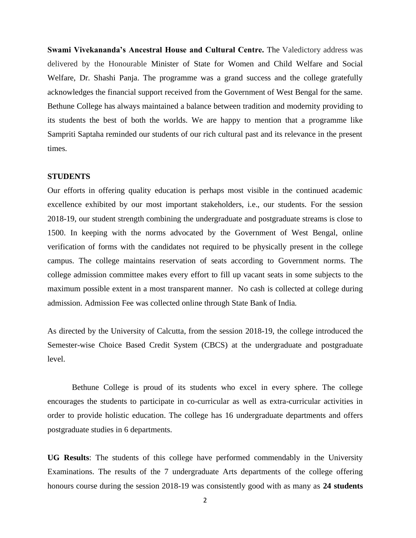**Swami Vivekananda's Ancestral House and Cultural Centre.** The Valedictory address was delivered by the Honourable Minister of State for Women and Child Welfare and Social Welfare, Dr. Shashi Panja. The programme was a grand success and the college gratefully acknowledges the financial support received from the Government of West Bengal for the same. Bethune College has always maintained a balance between tradition and modernity providing to its students the best of both the worlds. We are happy to mention that a programme like Sampriti Saptaha reminded our students of our rich cultural past and its relevance in the present times.

## **STUDENTS**

Our efforts in offering quality education is perhaps most visible in the continued academic excellence exhibited by our most important stakeholders, i.e., our students. For the session 2018-19, our student strength combining the undergraduate and postgraduate streams is close to 1500. In keeping with the norms advocated by the Government of West Bengal, online verification of forms with the candidates not required to be physically present in the college campus. The college maintains reservation of seats according to Government norms. The college admission committee makes every effort to fill up vacant seats in some subjects to the maximum possible extent in a most transparent manner. No cash is collected at college during admission. Admission Fee was collected online through State Bank of India.

As directed by the University of Calcutta, from the session 2018-19, the college introduced the Semester-wise Choice Based Credit System (CBCS) at the undergraduate and postgraduate level.

Bethune College is proud of its students who excel in every sphere. The college encourages the students to participate in co-curricular as well as extra-curricular activities in order to provide holistic education. The college has 16 undergraduate departments and offers postgraduate studies in 6 departments.

**UG Results**: The students of this college have performed commendably in the University Examinations. The results of the 7 undergraduate Arts departments of the college offering honours course during the session 2018-19 was consistently good with as many as **24 students**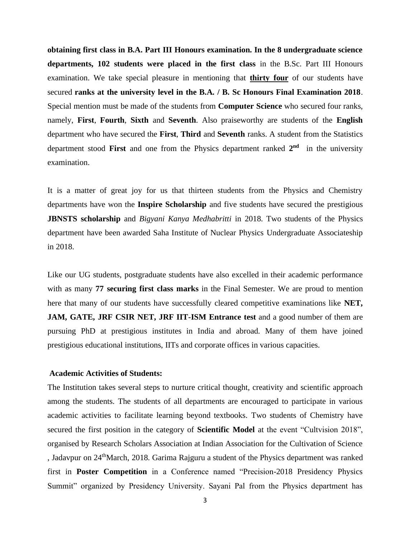**obtaining first class in B.A. Part III Honours examination. In the 8 undergraduate science departments, 102 students were placed in the first class** in the B.Sc. Part III Honours examination. We take special pleasure in mentioning that **thirty four** of our students have secured **ranks at the university level in the B.A. / B. Sc Honours Final Examination 2018**. Special mention must be made of the students from **Computer Science** who secured four ranks, namely, **First**, **Fourth**, **Sixth** and **Seventh**. Also praiseworthy are students of the **English**  department who have secured the **First**, **Third** and **Seventh** ranks. A student from the Statistics department stood **First** and one from the Physics department ranked **2 nd** in the university examination.

It is a matter of great joy for us that thirteen students from the Physics and Chemistry departments have won the **Inspire Scholarship** and five students have secured the prestigious **JBNSTS scholarship** and *Bigyani Kanya Medhabritti* in 2018. Two students of the Physics department have been awarded Saha Institute of Nuclear Physics Undergraduate Associateship in 2018.

Like our UG students, postgraduate students have also excelled in their academic performance with as many **77 securing first class marks** in the Final Semester. We are proud to mention here that many of our students have successfully cleared competitive examinations like **NET, JAM, GATE, JRF CSIR NET, JRF IIT-ISM Entrance test** and a good number of them are pursuing PhD at prestigious institutes in India and abroad. Many of them have joined prestigious educational institutions, IITs and corporate offices in various capacities.

## **Academic Activities of Students:**

The Institution takes several steps to nurture critical thought, creativity and scientific approach among the students. The students of all departments are encouraged to participate in various academic activities to facilitate learning beyond textbooks. Two students of Chemistry have secured the first position in the category of **Scientific Model** at the event "Cultvision 2018", organised by Research Scholars Association at Indian Association for the Cultivation of Science , Jadavpur on 24<sup>th</sup>March, 2018. Garima Rajguru a student of the Physics department was ranked first in **Poster Competition** in a Conference named "Precision-2018 Presidency Physics Summit" organized by Presidency University. Sayani Pal from the Physics department has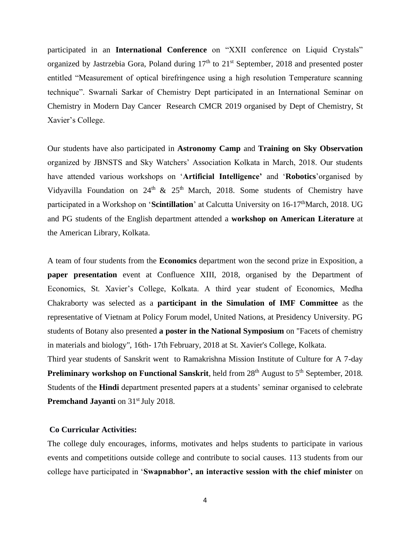participated in an **International Conference** on "XXII conference on Liquid Crystals" organized by Jastrzebia Gora, Poland during  $17<sup>th</sup>$  to  $21<sup>st</sup>$  September, 2018 and presented poster entitled "Measurement of optical birefringence using a high resolution Temperature scanning technique". Swarnali Sarkar of Chemistry Dept participated in an International Seminar on Chemistry in Modern Day Cancer Research CMCR 2019 organised by Dept of Chemistry, St Xavier's College.

Our students have also participated in **Astronomy Camp** and **Training on Sky Observation** organized by JBNSTS and Sky Watchers' Association Kolkata in March, 2018. Our students have attended various workshops on '**Artificial Intelligence'** and '**Robotics**'organised by Vidyavilla Foundation on  $24<sup>th</sup>$  &  $25<sup>th</sup>$  March, 2018. Some students of Chemistry have participated in a Workshop on '**Scintillation**' at Calcutta University on 16-17<sup>th</sup>March, 2018. UG and PG students of the English department attended a **workshop on American Literature** at the American Library, Kolkata.

A team of four students from the **Economics** department won the second prize in Exposition, a **paper presentation** event at Confluence XIII, 2018, organised by the Department of Economics, St. Xavier's College, Kolkata. A third year student of Economics, Medha Chakraborty was selected as a **participant in the Simulation of IMF Committee** as the representative of Vietnam at Policy Forum model, United Nations, at Presidency University. PG students of Botany also presented **a poster in the National Symposium** on "Facets of chemistry in materials and biology", 16th- 17th February, 2018 at St. Xavier's College, Kolkata.

Third year students of Sanskrit went to Ramakrishna Mission Institute of Culture for A 7-day **Preliminary workshop on Functional Sanskrit**, held from 28<sup>th</sup> August to 5<sup>th</sup> September, 2018. Students of the **Hindi** department presented papers at a students' seminar organised to celebrate **Premchand Jayanti** on 31<sup>st</sup> July 2018.

## **Co Curricular Activities:**

The college duly encourages, informs, motivates and helps students to participate in various events and competitions outside college and contribute to social causes. 113 students from our college have participated in '**Swapnabhor', an interactive session with the chief minister** on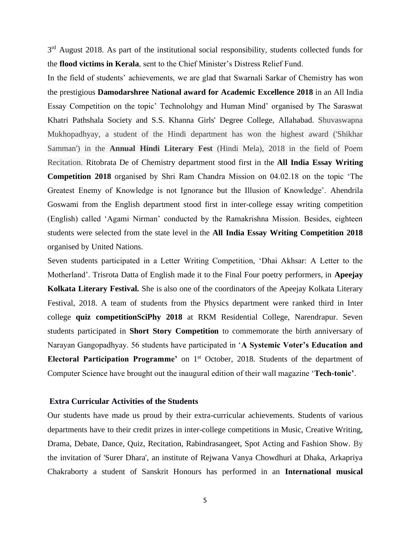3<sup>rd</sup> August 2018. As part of the institutional social responsibility, students collected funds for the **flood victims in Kerala**, sent to the Chief Minister's Distress Relief Fund.

In the field of students' achievements, we are glad that Swarnali Sarkar of Chemistry has won the prestigious **Damodarshree National award for Academic Excellence 2018** in an All India Essay Competition on the topic' Technolohgy and Human Mind' organised by The Saraswat Khatri Pathshala Society and S.S. Khanna Girls' Degree College, Allahabad. Shuvaswapna Mukhopadhyay, a student of the Hindi department has won the highest award ('Shikhar Samman') in the **Annual Hindi Literary Fest** (Hindi Mela), 2018 in the field of Poem Recitation. Ritobrata De of Chemistry department stood first in the **All India Essay Writing Competition 2018** organised by Shri Ram Chandra Mission on 04.02.18 on the topic 'The Greatest Enemy of Knowledge is not Ignorance but the Illusion of Knowledge'. Ahendrila Goswami from the English department stood first in inter-college essay writing competition (English) called 'Agami Nirman' conducted by the Ramakrishna Mission. Besides, eighteen students were selected from the state level in the **All India Essay Writing Competition 2018** organised by United Nations.

Seven students participated in a Letter Writing Competition, 'Dhai Akhsar: A Letter to the Motherland'. Trisrota Datta of English made it to the Final Four poetry performers, in **Apeejay Kolkata Literary Festival.** She is also one of the coordinators of the Apeejay Kolkata Literary Festival, 2018. A team of students from the Physics department were ranked third in Inter college **quiz competitionSciPhy 2018** at RKM Residential College, Narendrapur. Seven students participated in **Short Story Competition** to commemorate the birth anniversary of Narayan Gangopadhyay. 56 students have participated in '**A Systemic Voter's Education and Electoral Participation Programme'** on 1<sup>st</sup> October, 2018. Students of the department of Computer Science have brought out the inaugural edition of their wall magazine '**Tech-tonic'**.

### **Extra Curricular Activities of the Students**

Our students have made us proud by their extra-curricular achievements. Students of various departments have to their credit prizes in inter-college competitions in Music, Creative Writing, Drama, Debate, Dance, Quiz, Recitation, Rabindrasangeet, Spot Acting and Fashion Show. By the invitation of 'Surer Dhara', an institute of Rejwana Vanya Chowdhuri at Dhaka, Arkapriya Chakraborty a student of Sanskrit Honours has performed in an **International musical**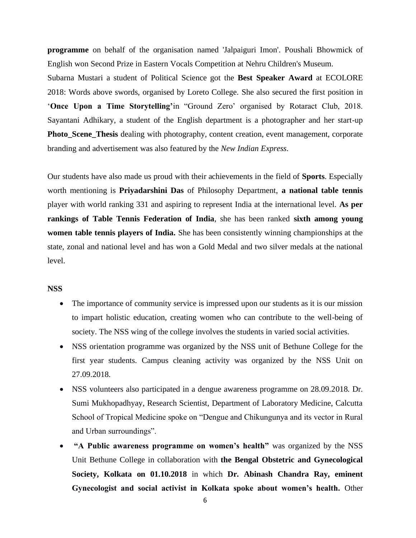**programme** on behalf of the organisation named 'Jalpaiguri Imon'. Poushali Bhowmick of English won Second Prize in Eastern Vocals Competition at Nehru Children's Museum.

Subarna Mustari a student of Political Science got the **Best Speaker Award** at ECOLORE 2018: Words above swords, organised by Loreto College. She also secured the first position in '**Once Upon a Time Storytelling'**in "Ground Zero' organised by Rotaract Club, 2018. Sayantani Adhikary, a student of the English department is a photographer and her start-up **Photo\_Scene\_Thesis** dealing with photography, content creation, event management, corporate branding and advertisement was also featured by the *New Indian Express*.

Our students have also made us proud with their achievements in the field of **Sports**. Especially worth mentioning is **Priyadarshini Das** of Philosophy Department, **a national table tennis**  player with world ranking 331 and aspiring to represent India at the international level. **As per rankings of Table Tennis Federation of India**, she has been ranked **sixth among young women table tennis players of India.** She has been consistently winning championships at the state, zonal and national level and has won a Gold Medal and two silver medals at the national level.

# **NSS**

- The importance of community service is impressed upon our students as it is our mission to impart holistic education, creating women who can contribute to the well-being of society. The NSS wing of the college involves the students in varied social activities.
- NSS orientation programme was organized by the NSS unit of Bethune College for the first year students. Campus cleaning activity was organized by the NSS Unit on 27.09.2018.
- NSS volunteers also participated in a dengue awareness programme on 28.09.2018. Dr. Sumi Mukhopadhyay, Research Scientist, Department of Laboratory Medicine, Calcutta School of Tropical Medicine spoke on "Dengue and Chikungunya and its vector in Rural and Urban surroundings".
- **"A Public awareness programme on women's health"** was organized by the NSS Unit Bethune College in collaboration with **the Bengal Obstetric and Gynecological Society, Kolkata on 01.10.2018** in which **Dr. Abinash Chandra Ray, eminent Gynecologist and social activist in Kolkata spoke about women's health.** Other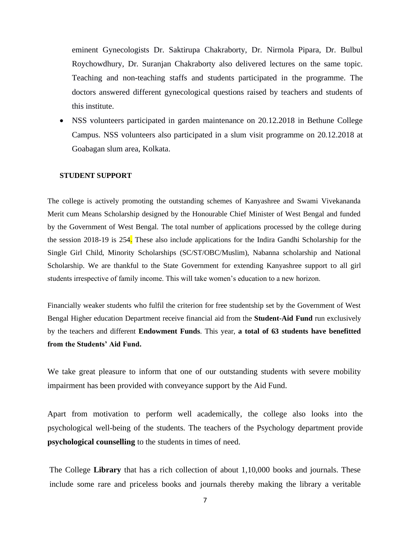eminent Gynecologists Dr. Saktirupa Chakraborty, Dr. Nirmola Pipara, Dr. Bulbul Roychowdhury, Dr. Suranjan Chakraborty also delivered lectures on the same topic. Teaching and non-teaching staffs and students participated in the programme. The doctors answered different gynecological questions raised by teachers and students of this institute.

• NSS volunteers participated in garden maintenance on 20.12.2018 in Bethune College Campus. NSS volunteers also participated in a slum visit programme on 20.12.2018 at Goabagan slum area, Kolkata.

## **STUDENT SUPPORT**

The college is actively promoting the outstanding schemes of Kanyashree and Swami Vivekananda Merit cum Means Scholarship designed by the Honourable Chief Minister of West Bengal and funded by the Government of West Bengal. The total number of applications processed by the college during the session 2018-19 is 254. These also include applications for the Indira Gandhi Scholarship for the Single Girl Child, Minority Scholarships (SC/ST/OBC/Muslim), Nabanna scholarship and National Scholarship. We are thankful to the State Government for extending Kanyashree support to all girl students irrespective of family income. This will take women's education to a new horizon.

Financially weaker students who fulfil the criterion for free studentship set by the Government of West Bengal Higher education Department receive financial aid from the **Student-Aid Fund** run exclusively by the teachers and different **Endowment Funds**. This year, **a total of 63 students have benefitted from the Students' Aid Fund.**

We take great pleasure to inform that one of our outstanding students with severe mobility impairment has been provided with conveyance support by the Aid Fund.

Apart from motivation to perform well academically, the college also looks into the psychological well-being of the students. The teachers of the Psychology department provide **psychological counselling** to the students in times of need.

The College **Library** that has a rich collection of about 1,10,000 books and journals. These include some rare and priceless books and journals thereby making the library a veritable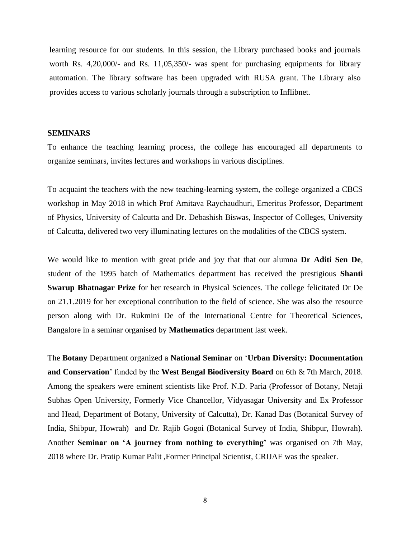learning resource for our students. In this session, the Library purchased books and journals worth Rs. 4,20,000/- and Rs. 11,05,350/- was spent for purchasing equipments for library automation. The library software has been upgraded with RUSA grant. The Library also provides access to various scholarly journals through a subscription to Inflibnet.

### **SEMINARS**

To enhance the teaching learning process, the college has encouraged all departments to organize seminars, invites lectures and workshops in various disciplines.

To acquaint the teachers with the new teaching-learning system, the college organized a CBCS workshop in May 2018 in which Prof Amitava Raychaudhuri, Emeritus Professor, Department of Physics, University of Calcutta and Dr. Debashish Biswas, Inspector of Colleges, University of Calcutta, delivered two very illuminating lectures on the modalities of the CBCS system.

We would like to mention with great pride and joy that that our alumna **Dr Aditi Sen De**, student of the 1995 batch of Mathematics department has received the prestigious **Shanti Swarup Bhatnagar Prize** for her research in Physical Sciences. The college felicitated Dr De on 21.1.2019 for her exceptional contribution to the field of science. She was also the resource person along with Dr. Rukmini De of the International Centre for Theoretical Sciences, Bangalore in a seminar organised by **Mathematics** department last week.

The **Botany** Department organized a **National Seminar** on '**Urban Diversity: Documentation and Conservation**' funded by the **West Bengal Biodiversity Board** on 6th & 7th March, 2018. Among the speakers were eminent scientists like Prof. N.D. Paria (Professor of Botany, Netaji Subhas Open University, Formerly Vice Chancellor, Vidyasagar University and Ex Professor and Head, Department of Botany, University of Calcutta), Dr. Kanad Das (Botanical Survey of India, Shibpur, Howrah) and Dr. Rajib Gogoi (Botanical Survey of India, Shibpur, Howrah). Another **Seminar on 'A journey from nothing to everything'** was organised on 7th May, 2018 where Dr. Pratip Kumar Palit ,Former Principal Scientist, CRIJAF was the speaker.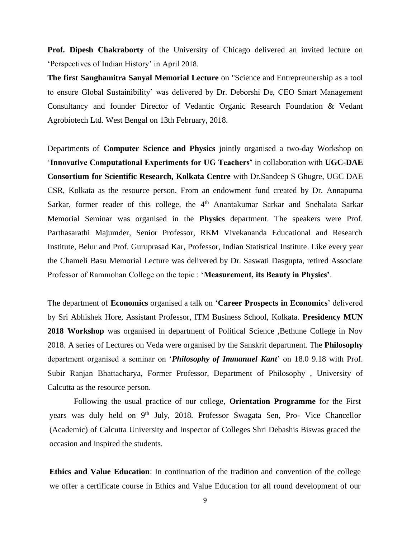**Prof. Dipesh Chakraborty** of the University of Chicago delivered an invited lecture on 'Perspectives of Indian History' in April 2018.

**The first Sanghamitra Sanyal Memorial Lecture** on "Science and Entrepreunership as a tool to ensure Global Sustainibility' was delivered by Dr. Deborshi De, CEO Smart Management Consultancy and founder Director of Vedantic Organic Research Foundation & Vedant Agrobiotech Ltd. West Bengal on 13th February, 2018.

Departments of **Computer Science and Physics** jointly organised a two-day Workshop on '**Innovative Computational Experiments for UG Teachers'** in collaboration with **UGC-DAE Consortium for Scientific Research, Kolkata Centre** with Dr.Sandeep S Ghugre, UGC DAE CSR, Kolkata as the resource person. From an endowment fund created by Dr. Annapurna Sarkar, former reader of this college, the 4<sup>th</sup> Anantakumar Sarkar and Snehalata Sarkar Memorial Seminar was organised in the **Physics** department. The speakers were Prof. Parthasarathi Majumder, Senior Professor, RKM Vivekananda Educational and Research Institute, Belur and Prof. Guruprasad Kar, Professor, Indian Statistical Institute. Like every year the Chameli Basu Memorial Lecture was delivered by Dr. Saswati Dasgupta, retired Associate Professor of Rammohan College on the topic : '**Measurement, its Beauty in Physics'**.

The department of **Economics** organised a talk on '**Career Prospects in Economics**' delivered by Sri Abhishek Hore, Assistant Professor, ITM Business School, Kolkata. **Presidency MUN 2018 Workshop** was organised in department of Political Science ,Bethune College in Nov 2018. A series of Lectures on Veda were organised by the Sanskrit department. The **Philosophy**  department organised a seminar on '*Philosophy of Immanuel Kant*' on 18.0 9.18 with Prof. Subir Ranjan Bhattacharya, Former Professor, Department of Philosophy , University of Calcutta as the resource person.

Following the usual practice of our college, **Orientation Programme** for the First years was duly held on 9<sup>th</sup> July, 2018. Professor Swagata Sen, Pro- Vice Chancellor (Academic) of Calcutta University and Inspector of Colleges Shri Debashis Biswas graced the occasion and inspired the students.

**Ethics and Value Education**: In continuation of the tradition and convention of the college we offer a certificate course in Ethics and Value Education for all round development of our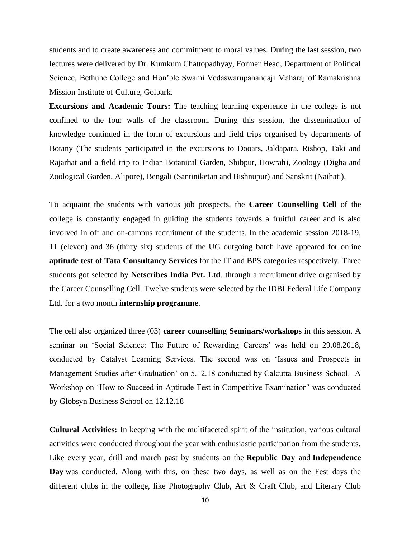students and to create awareness and commitment to moral values. During the last session, two lectures were delivered by Dr. Kumkum Chattopadhyay, Former Head, Department of Political Science, Bethune College and Hon'ble Swami Vedaswarupanandaji Maharaj of Ramakrishna Mission Institute of Culture, Golpark.

**Excursions and Academic Tours:** The teaching learning experience in the college is not confined to the four walls of the classroom. During this session, the dissemination of knowledge continued in the form of excursions and field trips organised by departments of Botany (The students participated in the excursions to Dooars, Jaldapara, Rishop, Taki and Rajarhat and a field trip to Indian Botanical Garden, Shibpur, Howrah), Zoology (Digha and Zoological Garden, Alipore), Bengali (Santiniketan and Bishnupur) and Sanskrit (Naihati).

To acquaint the students with various job prospects, the **Career Counselling Cell** of the college is constantly engaged in guiding the students towards a fruitful career and is also involved in off and on-campus recruitment of the students. In the academic session 2018-19, 11 (eleven) and 36 (thirty six) students of the UG outgoing batch have appeared for online **aptitude test of Tata Consultancy Services** for the IT and BPS categories respectively. Three students got selected by **Netscribes India Pvt. Ltd**. through a recruitment drive organised by the Career Counselling Cell. Twelve students were selected by the IDBI Federal Life Company Ltd. for a two month **internship programme**.

The cell also organized three (03) **career counselling Seminars/workshops** in this session. A seminar on 'Social Science: The Future of Rewarding Careers' was held on 29.08.2018, conducted by Catalyst Learning Services. The second was on 'Issues and Prospects in Management Studies after Graduation' on 5.12.18 conducted by Calcutta Business School. A Workshop on 'How to Succeed in Aptitude Test in Competitive Examination' was conducted by Globsyn Business School on 12.12.18

**Cultural Activities:** In keeping with the multifaceted spirit of the institution, various cultural activities were conducted throughout the year with enthusiastic participation from the students. Like every year, drill and march past by students on the **Republic Day** and **Independence Day** was conducted. Along with this, on these two days, as well as on the Fest days the different clubs in the college, like Photography Club, Art & Craft Club, and Literary Club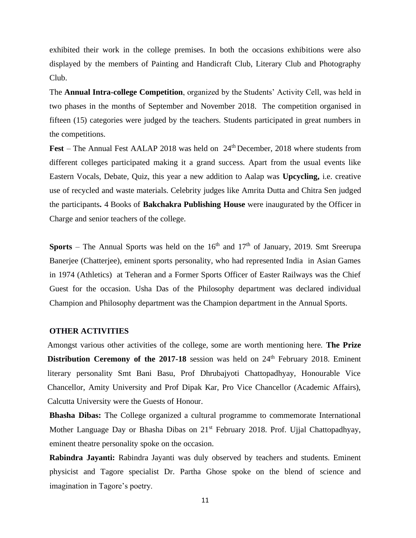exhibited their work in the college premises. In both the occasions exhibitions were also displayed by the members of Painting and Handicraft Club, Literary Club and Photography Club.

The **Annual Intra-college Competition**, organized by the Students' Activity Cell, was held in two phases in the months of September and November 2018. The competition organised in fifteen (15) categories were judged by the teachers. Students participated in great numbers in the competitions.

Fest – The Annual Fest AALAP 2018 was held on 24<sup>th</sup> December, 2018 where students from different colleges participated making it a grand success. Apart from the usual events like Eastern Vocals, Debate, Quiz, this year a new addition to Aalap was **Upcycling,** i.e. creative use of recycled and waste materials. Celebrity judges like Amrita Dutta and Chitra Sen judged the participants**.** 4 Books of **Bakchakra Publishing House** were inaugurated by the Officer in Charge and senior teachers of the college.

**Sports** – The Annual Sports was held on the  $16<sup>th</sup>$  and  $17<sup>th</sup>$  of January, 2019. Smt Sreerupa Banerjee (Chatterjee), eminent sports personality, who had represented India in Asian Games in 1974 (Athletics) at Teheran and a Former Sports Officer of Easter Railways was the Chief Guest for the occasion. Usha Das of the Philosophy department was declared individual Champion and Philosophy department was the Champion department in the Annual Sports.

#### **OTHER ACTIVITIES**

Amongst various other activities of the college, some are worth mentioning here. **The Prize Distribution Ceremony of the 2017-18** session was held on 24<sup>th</sup> February 2018. Eminent literary personality Smt Bani Basu, Prof Dhrubajyoti Chattopadhyay, Honourable Vice Chancellor, Amity University and Prof Dipak Kar, Pro Vice Chancellor (Academic Affairs), Calcutta University were the Guests of Honour.

**Bhasha Dibas:** The College organized a cultural programme to commemorate International Mother Language Day or Bhasha Dibas on 21<sup>st</sup> February 2018. Prof. Ujjal Chattopadhyay, eminent theatre personality spoke on the occasion.

**Rabindra Jayanti:** Rabindra Jayanti was duly observed by teachers and students. Eminent physicist and Tagore specialist Dr. Partha Ghose spoke on the blend of science and imagination in Tagore's poetry.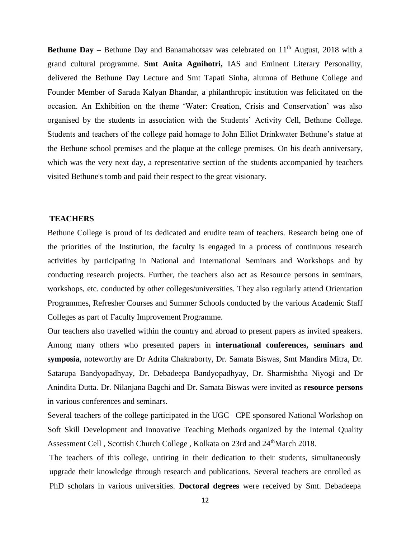**Bethune Day –** Bethune Day and Banamahotsay was celebrated on 11<sup>th</sup> August, 2018 with a grand cultural programme. **Smt Anita Agnihotri,** IAS and Eminent Literary Personality, delivered the Bethune Day Lecture and Smt Tapati Sinha, alumna of Bethune College and Founder Member of Sarada Kalyan Bhandar, a philanthropic institution was felicitated on the occasion. An Exhibition on the theme 'Water: Creation, Crisis and Conservation' was also organised by the students in association with the Students' Activity Cell, Bethune College. Students and teachers of the college paid homage to John Elliot Drinkwater Bethune's statue at the Bethune school premises and the plaque at the college premises. On his death anniversary, which was the very next day, a representative section of the students accompanied by teachers visited Bethune's tomb and paid their respect to the great visionary.

# **TEACHERS**

Bethune College is proud of its dedicated and erudite team of teachers. Research being one of the priorities of the Institution, the faculty is engaged in a process of continuous research activities by participating in National and International Seminars and Workshops and by conducting research projects. Further, the teachers also act as Resource persons in seminars, workshops, etc. conducted by other colleges/universities. They also regularly attend Orientation Programmes, Refresher Courses and Summer Schools conducted by the various Academic Staff Colleges as part of Faculty Improvement Programme.

Our teachers also travelled within the country and abroad to present papers as invited speakers. Among many others who presented papers in **international conferences, seminars and symposia**, noteworthy are Dr Adrita Chakraborty, Dr. Samata Biswas, Smt Mandira Mitra, Dr. Satarupa Bandyopadhyay, Dr. Debadeepa Bandyopadhyay, Dr. Sharmishtha Niyogi and Dr Anindita Dutta. Dr. Nilanjana Bagchi and Dr. Samata Biswas were invited as **resource persons** in various conferences and seminars.

Several teachers of the college participated in the UGC –CPE sponsored National Workshop on Soft Skill Development and Innovative Teaching Methods organized by the Internal Quality Assessment Cell, Scottish Church College, Kolkata on 23rd and 24<sup>th</sup>March 2018.

The teachers of this college, untiring in their dedication to their students, simultaneously upgrade their knowledge through research and publications. Several teachers are enrolled as PhD scholars in various universities. **Doctoral degrees** were received by Smt. Debadeepa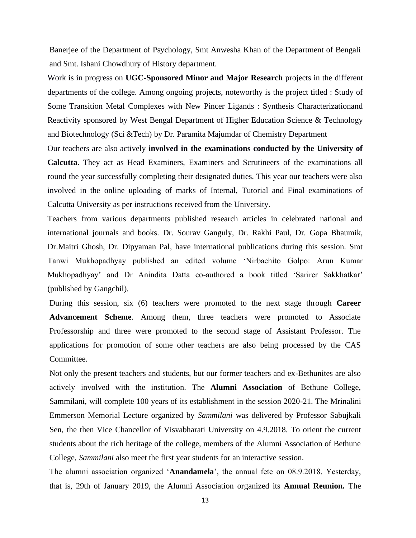Banerjee of the Department of Psychology, Smt Anwesha Khan of the Department of Bengali and Smt. Ishani Chowdhury of History department.

Work is in progress on **UGC-Sponsored Minor and Major Research** projects in the different departments of the college. Among ongoing projects, noteworthy is the project titled : Study of Some Transition Metal Complexes with New Pincer Ligands : Synthesis Characterizationand Reactivity sponsored by West Bengal Department of Higher Education Science & Technology and Biotechnology (Sci &Tech) by Dr. Paramita Majumdar of Chemistry Department

Our teachers are also actively **involved in the examinations conducted by the University of Calcutta**. They act as Head Examiners, Examiners and Scrutineers of the examinations all round the year successfully completing their designated duties. This year our teachers were also involved in the online uploading of marks of Internal, Tutorial and Final examinations of Calcutta University as per instructions received from the University.

Teachers from various departments published research articles in celebrated national and international journals and books. Dr. Sourav Ganguly, Dr. Rakhi Paul, Dr. Gopa Bhaumik, Dr.Maitri Ghosh, Dr. Dipyaman Pal, have international publications during this session. Smt Tanwi Mukhopadhyay published an edited volume 'Nirbachito Golpo: Arun Kumar Mukhopadhyay' and Dr Anindita Datta co-authored a book titled 'Sarirer Sakkhatkar' (published by Gangchil).

During this session, six (6) teachers were promoted to the next stage through **Career Advancement Scheme**. Among them, three teachers were promoted to Associate Professorship and three were promoted to the second stage of Assistant Professor. The applications for promotion of some other teachers are also being processed by the CAS Committee.

Not only the present teachers and students, but our former teachers and ex-Bethunites are also actively involved with the institution. The **Alumni Association** of Bethune College, Sammilani, will complete 100 years of its establishment in the session 2020-21. The Mrinalini Emmerson Memorial Lecture organized by *Sammilani* was delivered by Professor Sabujkali Sen, the then Vice Chancellor of Visvabharati University on 4.9.2018. To orient the current students about the rich heritage of the college, members of the Alumni Association of Bethune College, *Sammilani* also meet the first year students for an interactive session.

The alumni association organized '**Anandamela**', the annual fete on 08.9.2018. Yesterday, that is, 29th of January 2019, the Alumni Association organized its **Annual Reunion.** The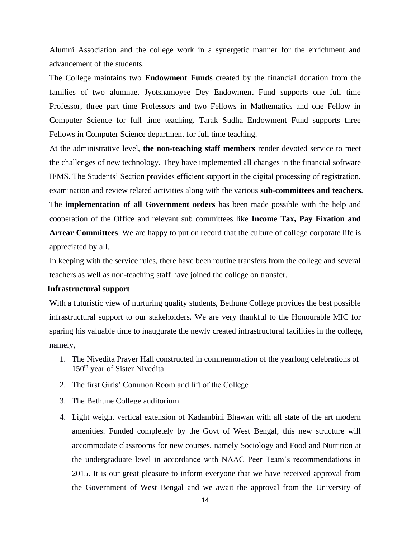Alumni Association and the college work in a synergetic manner for the enrichment and advancement of the students.

The College maintains two **Endowment Funds** created by the financial donation from the families of two alumnae. Jyotsnamoyee Dey Endowment Fund supports one full time Professor, three part time Professors and two Fellows in Mathematics and one Fellow in Computer Science for full time teaching. Tarak Sudha Endowment Fund supports three Fellows in Computer Science department for full time teaching.

At the administrative level, **the non-teaching staff members** render devoted service to meet the challenges of new technology. They have implemented all changes in the financial software IFMS. The Students' Section provides efficient support in the digital processing of registration, examination and review related activities along with the various **sub**-**committees and teachers**. The **implementation of all Government orders** has been made possible with the help and

cooperation of the Office and relevant sub committees like **Income Tax, Pay Fixation and** 

**Arrear Committees**. We are happy to put on record that the culture of college corporate life is appreciated by all.

In keeping with the service rules, there have been routine transfers from the college and several teachers as well as non-teaching staff have joined the college on transfer.

#### **Infrastructural support**

With a futuristic view of nurturing quality students, Bethune College provides the best possible infrastructural support to our stakeholders. We are very thankful to the Honourable MIC for sparing his valuable time to inaugurate the newly created infrastructural facilities in the college, namely,

- 1. The Nivedita Prayer Hall constructed in commemoration of the yearlong celebrations of 150<sup>th</sup> year of Sister Nivedita.
- 2. The first Girls' Common Room and lift of the College
- 3. The Bethune College auditorium
- 4. Light weight vertical extension of Kadambini Bhawan with all state of the art modern amenities. Funded completely by the Govt of West Bengal, this new structure will accommodate classrooms for new courses, namely Sociology and Food and Nutrition at the undergraduate level in accordance with NAAC Peer Team's recommendations in 2015. It is our great pleasure to inform everyone that we have received approval from the Government of West Bengal and we await the approval from the University of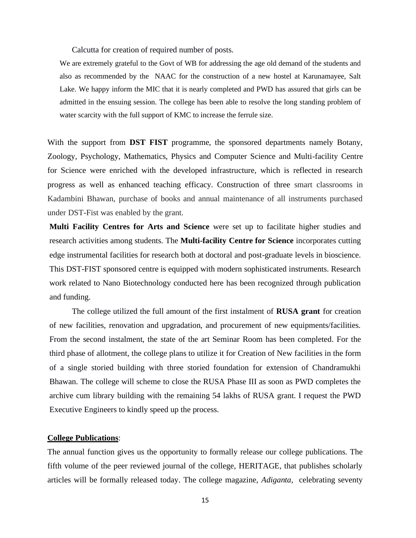Calcutta for creation of required number of posts.

We are extremely grateful to the Govt of WB for addressing the age old demand of the students and also as recommended by the NAAC for the construction of a new hostel at Karunamayee, Salt Lake. We happy inform the MIC that it is nearly completed and PWD has assured that girls can be admitted in the ensuing session. The college has been able to resolve the long standing problem of water scarcity with the full support of KMC to increase the ferrule size.

With the support from **DST FIST** programme, the sponsored departments namely Botany, Zoology, Psychology, Mathematics, Physics and Computer Science and Multi-facility Centre for Science were enriched with the developed infrastructure, which is reflected in research progress as well as enhanced teaching efficacy. Construction of three smart classrooms in Kadambini Bhawan, purchase of books and annual maintenance of all instruments purchased under DST-Fist was enabled by the grant.

**Multi Facility Centres for Arts and Science** were set up to facilitate higher studies and research activities among students. The **Multi-facility Centre for Science** incorporates cutting edge instrumental facilities for research both at doctoral and post-graduate levels in bioscience. This DST-FIST sponsored centre is equipped with modern sophisticated instruments. Research work related to Nano Biotechnology conducted here has been recognized through publication and funding.

The college utilized the full amount of the first instalment of **RUSA grant** for creation of new facilities, renovation and upgradation, and procurement of new equipments/facilities. From the second instalment, the state of the art Seminar Room has been completed. For the third phase of allotment, the college plans to utilize it for Creation of New facilities in the form of a single storied building with three storied foundation for extension of Chandramukhi Bhawan. The college will scheme to close the RUSA Phase III as soon as PWD completes the archive cum library building with the remaining 54 lakhs of RUSA grant. I request the PWD Executive Engineers to kindly speed up the process.

# **College Publications**:

The annual function gives us the opportunity to formally release our college publications. The fifth volume of the peer reviewed journal of the college, HERITAGE, that publishes scholarly articles will be formally released today. The college magazine, *Adiganta*, celebrating seventy